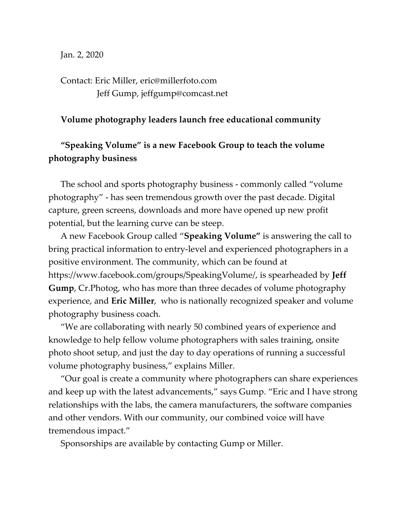Jan. 2, 2020

Contact: Eric Miller, eric@millerfoto.com Jeff Gump, jeffgump@comcast.net

## **Volume photography leaders launch free educational community**

## **"Speaking Volume" is a new Facebook Group to teach the volume photography business**

The school and sports photography business - commonly called "volume photography" - has seen tremendous growth over the past decade. Digital capture, green screens, downloads and more have opened up new profit potential, but the learning curve can be steep.

A new Facebook Group called "**Speaking Volume"** is answering the call to bring practical information to entry-level and experienced photographers in a positive environment. The community, which can be found at [https://www.facebook.com/groups/SpeakingVolume/,](https://www.facebook.com/groups/SpeakingVolume/) is spearheaded by **Jeff Gump**, Cr.Photog, who has more than three decades of volume photography experience, and **Eric Miller**, who is nationally recognized speaker and volume photography business coach.

"We are collaborating with nearly 50 combined years of experience and knowledge to help fellow volume photographers with sales training, onsite photo shoot setup, and just the day to day operations of running a successful volume photography business," explains Miller.

"Our goal is create a community where photographers can share experiences and keep up with the latest advancements," says Gump. "Eric and I have strong relationships with the labs, the camera manufacturers, the software companies and other vendors. With our community, our combined voice will have tremendous impact."

Sponsorships are available by contacting Gump or Miller.